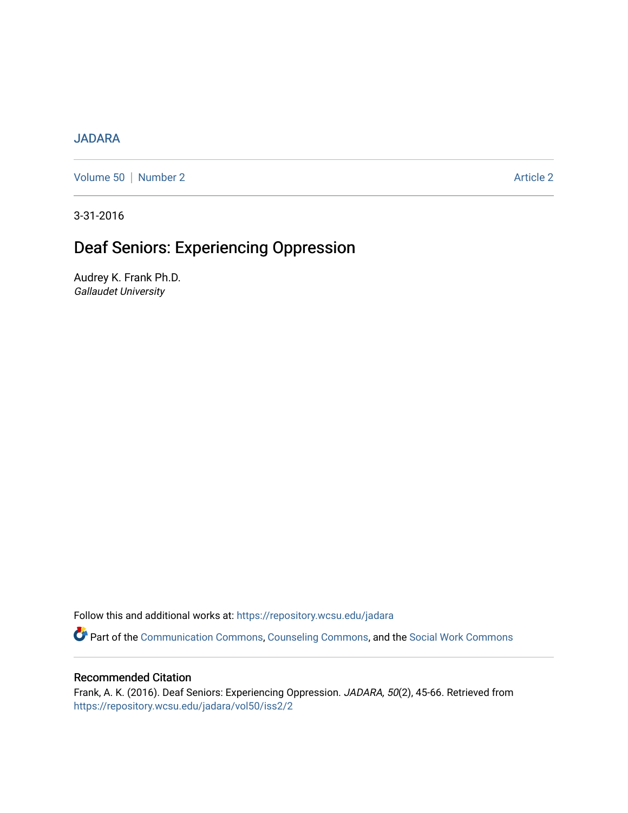## **[JADARA](https://repository.wcsu.edu/jadara)**

[Volume 50](https://repository.wcsu.edu/jadara/vol50) | [Number 2](https://repository.wcsu.edu/jadara/vol50/iss2) Article 2

3-31-2016

# Deaf Seniors: Experiencing Oppression

Audrey K. Frank Ph.D. Gallaudet University

Follow this and additional works at: [https://repository.wcsu.edu/jadara](https://repository.wcsu.edu/jadara?utm_source=repository.wcsu.edu%2Fjadara%2Fvol50%2Fiss2%2F2&utm_medium=PDF&utm_campaign=PDFCoverPages)

Part of the [Communication Commons,](http://network.bepress.com/hgg/discipline/325?utm_source=repository.wcsu.edu%2Fjadara%2Fvol50%2Fiss2%2F2&utm_medium=PDF&utm_campaign=PDFCoverPages) [Counseling Commons](http://network.bepress.com/hgg/discipline/1268?utm_source=repository.wcsu.edu%2Fjadara%2Fvol50%2Fiss2%2F2&utm_medium=PDF&utm_campaign=PDFCoverPages), and the [Social Work Commons](http://network.bepress.com/hgg/discipline/713?utm_source=repository.wcsu.edu%2Fjadara%2Fvol50%2Fiss2%2F2&utm_medium=PDF&utm_campaign=PDFCoverPages)

## Recommended Citation

Frank, A. K. (2016). Deaf Seniors: Experiencing Oppression. JADARA, 50(2), 45-66. Retrieved from [https://repository.wcsu.edu/jadara/vol50/iss2/2](https://repository.wcsu.edu/jadara/vol50/iss2/2?utm_source=repository.wcsu.edu%2Fjadara%2Fvol50%2Fiss2%2F2&utm_medium=PDF&utm_campaign=PDFCoverPages)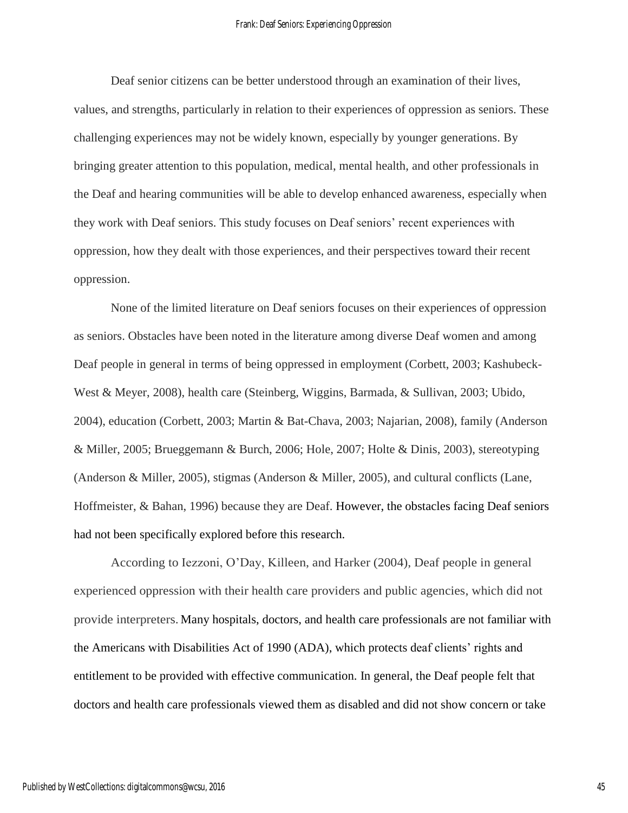Deaf senior citizens can be better understood through an examination of their lives, values, and strengths, particularly in relation to their experiences of oppression as seniors. These challenging experiences may not be widely known, especially by younger generations. By bringing greater attention to this population, medical, mental health, and other professionals in the Deaf and hearing communities will be able to develop enhanced awareness, especially when they work with Deaf seniors. This study focuses on Deaf seniors' recent experiences with oppression, how they dealt with those experiences, and their perspectives toward their recent oppression.

None of the limited literature on Deaf seniors focuses on their experiences of oppression as seniors. Obstacles have been noted in the literature among diverse Deaf women and among Deaf people in general in terms of being oppressed in employment (Corbett, 2003; Kashubeck-West & Meyer, 2008), health care (Steinberg, Wiggins, Barmada, & Sullivan, 2003; Ubido, 2004), education (Corbett, 2003; Martin & Bat-Chava, 2003; Najarian, 2008), family (Anderson & Miller, 2005; Brueggemann & Burch, 2006; Hole, 2007; Holte & Dinis, 2003), stereotyping (Anderson & Miller, 2005), stigmas (Anderson & Miller, 2005), and cultural conflicts (Lane, Hoffmeister, & Bahan, 1996) because they are Deaf. However, the obstacles facing Deaf seniors had not been specifically explored before this research.

According to Iezzoni, O'Day, Killeen, and Harker (2004), Deaf people in general experienced oppression with their health care providers and public agencies, which did not provide interpreters. Many hospitals, doctors, and health care professionals are not familiar with the Americans with Disabilities Act of 1990 (ADA), which protects deaf clients' rights and entitlement to be provided with effective communication. In general, the Deaf people felt that doctors and health care professionals viewed them as disabled and did not show concern or take

45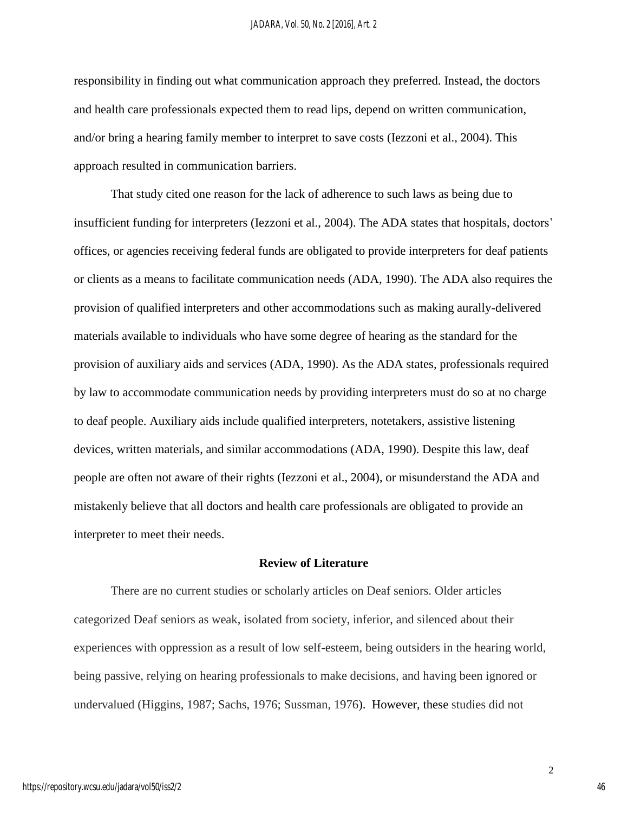responsibility in finding out what communication approach they preferred. Instead, the doctors and health care professionals expected them to read lips, depend on written communication, and/or bring a hearing family member to interpret to save costs (Iezzoni et al., 2004). This approach resulted in communication barriers.

That study cited one reason for the lack of adherence to such laws as being due to insufficient funding for interpreters (Iezzoni et al., 2004). The ADA states that hospitals, doctors' offices, or agencies receiving federal funds are obligated to provide interpreters for deaf patients or clients as a means to facilitate communication needs (ADA, 1990). The ADA also requires the provision of qualified interpreters and other accommodations such as making aurally-delivered materials available to individuals who have some degree of hearing as the standard for the provision of auxiliary aids and services (ADA, 1990). As the ADA states, professionals required by law to accommodate communication needs by providing interpreters must do so at no charge to deaf people. Auxiliary aids include qualified interpreters, notetakers, assistive listening devices, written materials, and similar accommodations (ADA, 1990). Despite this law, deaf people are often not aware of their rights (Iezzoni et al., 2004), or misunderstand the ADA and mistakenly believe that all doctors and health care professionals are obligated to provide an interpreter to meet their needs.

## **Review of Literature**

There are no current studies or scholarly articles on Deaf seniors. Older articles categorized Deaf seniors as weak, isolated from society, inferior, and silenced about their experiences with oppression as a result of low self-esteem, being outsiders in the hearing world, being passive, relying on hearing professionals to make decisions, and having been ignored or undervalued (Higgins, 1987; Sachs, 1976; Sussman, 1976). However, these studies did not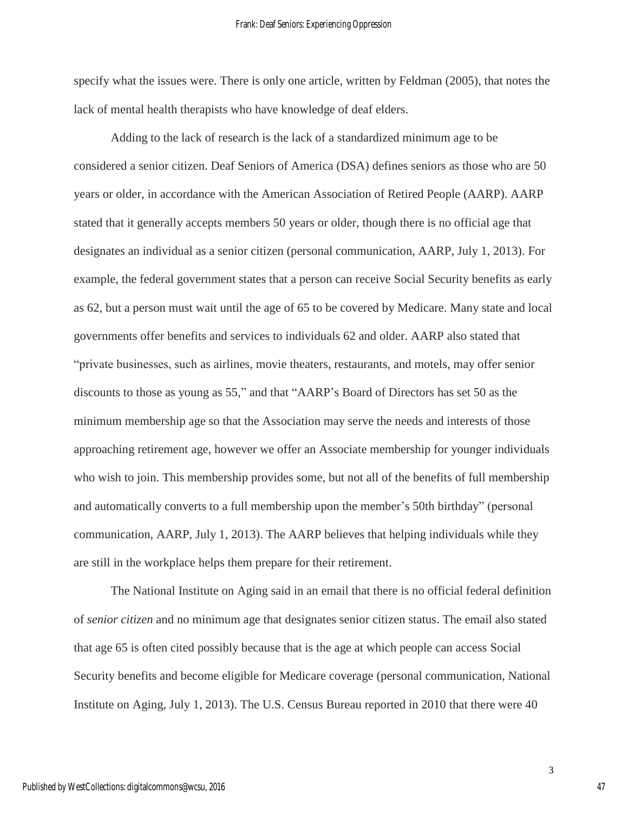specify what the issues were. There is only one article, written by Feldman (2005), that notes the lack of mental health therapists who have knowledge of deaf elders.

Adding to the lack of research is the lack of a standardized minimum age to be considered a senior citizen. Deaf Seniors of America (DSA) defines seniors as those who are 50 years or older, in accordance with the American Association of Retired People (AARP). AARP stated that it generally accepts members 50 years or older, though there is no official age that designates an individual as a senior citizen (personal communication, AARP, July 1, 2013). For example, the federal government states that a person can receive Social Security benefits as early as 62, but a person must wait until the age of 65 to be covered by Medicare. Many state and local governments offer benefits and services to individuals 62 and older. AARP also stated that "private businesses, such as airlines, movie theaters, restaurants, and motels, may offer senior discounts to those as young as 55," and that "AARP's Board of Directors has set 50 as the minimum membership age so that the Association may serve the needs and interests of those approaching retirement age, however we offer an Associate membership for younger individuals who wish to join. This membership provides some, but not all of the benefits of full membership and automatically converts to a full membership upon the member's 50th birthday" (personal communication, AARP, July 1, 2013). The AARP believes that helping individuals while they are still in the workplace helps them prepare for their retirement.

The National Institute on Aging said in an email that there is no official federal definition of *senior citizen* and no minimum age that designates senior citizen status. The email also stated that age 65 is often cited possibly because that is the age at which people can access Social Security benefits and become eligible for Medicare coverage (personal communication, National Institute on Aging, July 1, 2013). The U.S. Census Bureau reported in 2010 that there were 40

3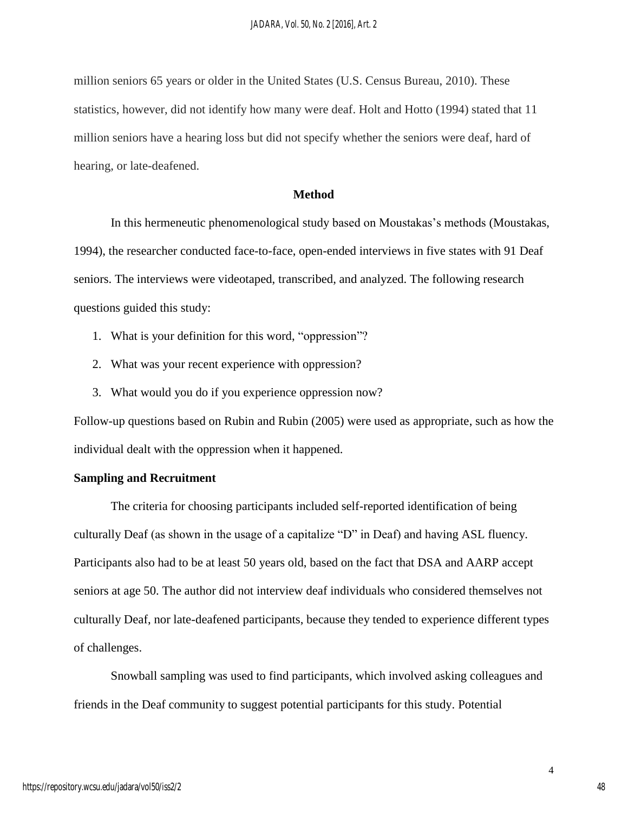million seniors 65 years or older in the United States (U.S. Census Bureau, 2010). These statistics, however, did not identify how many were deaf. Holt and Hotto (1994) stated that 11 million seniors have a hearing loss but did not specify whether the seniors were deaf, hard of hearing, or late-deafened.

## **Method**

In this hermeneutic phenomenological study based on Moustakas's methods (Moustakas, 1994), the researcher conducted face-to-face, open-ended interviews in five states with 91 Deaf seniors. The interviews were videotaped, transcribed, and analyzed. The following research questions guided this study:

- 1. What is your definition for this word, "oppression"?
- 2. What was your recent experience with oppression?
- 3. What would you do if you experience oppression now?

Follow-up questions based on Rubin and Rubin (2005) were used as appropriate, such as how the individual dealt with the oppression when it happened.

## **Sampling and Recruitment**

The criteria for choosing participants included self-reported identification of being culturally Deaf (as shown in the usage of a capitalize "D" in Deaf) and having ASL fluency. Participants also had to be at least 50 years old, based on the fact that DSA and AARP accept seniors at age 50. The author did not interview deaf individuals who considered themselves not culturally Deaf, nor late-deafened participants, because they tended to experience different types of challenges.

Snowball sampling was used to find participants, which involved asking colleagues and friends in the Deaf community to suggest potential participants for this study. Potential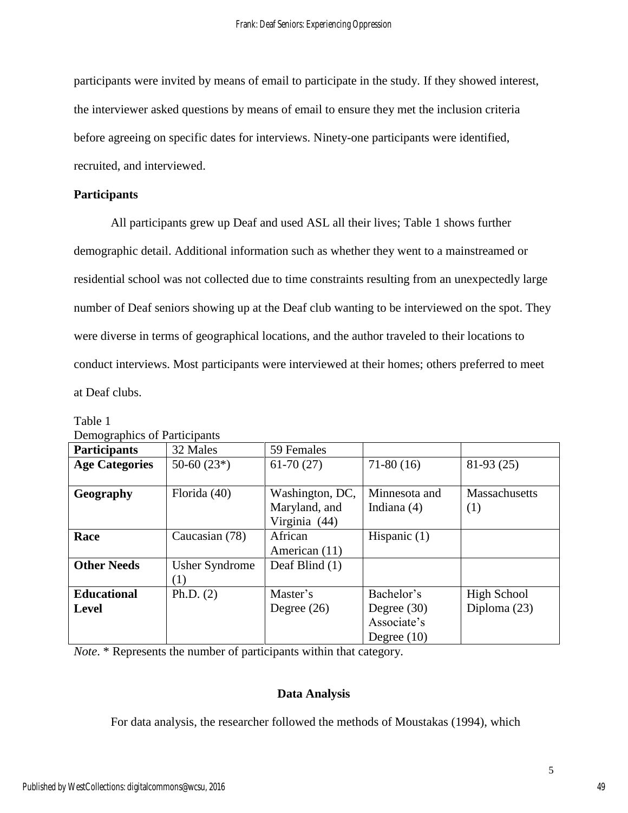participants were invited by means of email to participate in the study. If they showed interest, the interviewer asked questions by means of email to ensure they met the inclusion criteria before agreeing on specific dates for interviews. Ninety-one participants were identified, recruited, and interviewed.

## **Participants**

All participants grew up Deaf and used ASL all their lives; Table 1 shows further demographic detail. Additional information such as whether they went to a mainstreamed or residential school was not collected due to time constraints resulting from an unexpectedly large number of Deaf seniors showing up at the Deaf club wanting to be interviewed on the spot. They were diverse in terms of geographical locations, and the author traveled to their locations to conduct interviews. Most participants were interviewed at their homes; others preferred to meet at Deaf clubs.

| Demographics of Participants |                       |                 |                |                |
|------------------------------|-----------------------|-----------------|----------------|----------------|
| <b>Participants</b>          | 32 Males              | 59 Females      |                |                |
| <b>Age Categories</b>        | $50-60(23*)$          | $61-70(27)$     | $71-80(16)$    | $81-93(25)$    |
|                              |                       |                 |                |                |
| Geography                    | Florida (40)          | Washington, DC, | Minnesota and  | Massachusetts  |
|                              |                       | Maryland, and   | Indiana $(4)$  | (1)            |
|                              |                       | Virginia (44)   |                |                |
| Race                         | Caucasian (78)        | African         | Hispanic $(1)$ |                |
|                              |                       | American (11)   |                |                |
| <b>Other Needs</b>           | <b>Usher Syndrome</b> | Deaf Blind (1)  |                |                |
|                              | (1)                   |                 |                |                |
| <b>Educational</b>           | Ph.D. $(2)$           | Master's        | Bachelor's     | High School    |
| <b>Level</b>                 |                       | Degree $(26)$   | Degree $(30)$  | Diploma $(23)$ |
|                              |                       |                 | Associate's    |                |
|                              |                       |                 | Degree $(10)$  |                |

Table 1 Demographics of Participants

*Note*. \* Represents the number of participants within that category.

## **Data Analysis**

For data analysis, the researcher followed the methods of Moustakas (1994), which

5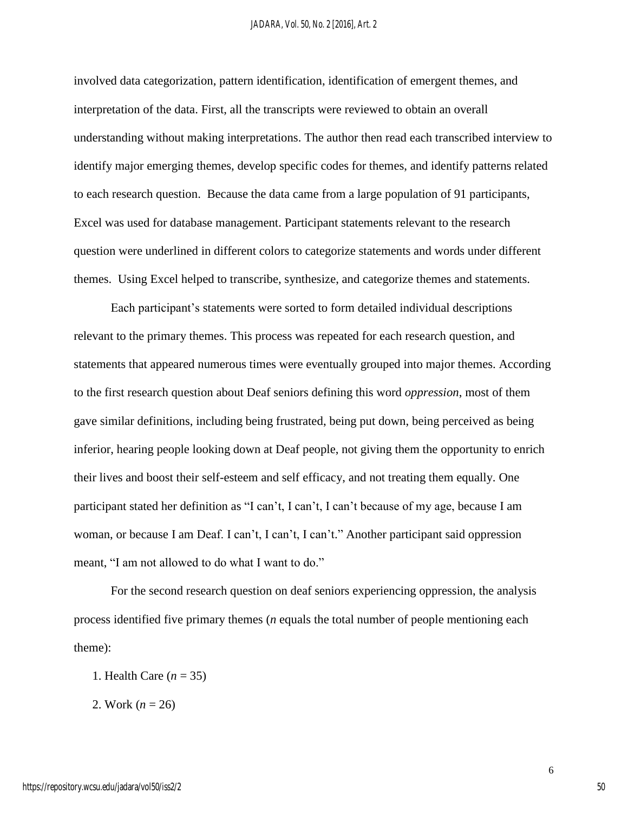involved data categorization, pattern identification, identification of emergent themes, and interpretation of the data. First, all the transcripts were reviewed to obtain an overall understanding without making interpretations. The author then read each transcribed interview to identify major emerging themes, develop specific codes for themes, and identify patterns related to each research question. Because the data came from a large population of 91 participants, Excel was used for database management. Participant statements relevant to the research question were underlined in different colors to categorize statements and words under different themes. Using Excel helped to transcribe, synthesize, and categorize themes and statements.

Each participant's statements were sorted to form detailed individual descriptions relevant to the primary themes. This process was repeated for each research question, and statements that appeared numerous times were eventually grouped into major themes. According to the first research question about Deaf seniors defining this word *oppression*, most of them gave similar definitions, including being frustrated, being put down, being perceived as being inferior, hearing people looking down at Deaf people, not giving them the opportunity to enrich their lives and boost their self-esteem and self efficacy, and not treating them equally. One participant stated her definition as "I can't, I can't, I can't because of my age, because I am woman, or because I am Deaf. I can't, I can't, I can't." Another participant said oppression meant, "I am not allowed to do what I want to do."

For the second research question on deaf seniors experiencing oppression, the analysis process identified five primary themes (*n* equals the total number of people mentioning each theme):

- 1. Health Care (*n* = 35)
- 2. Work (*n* = 26)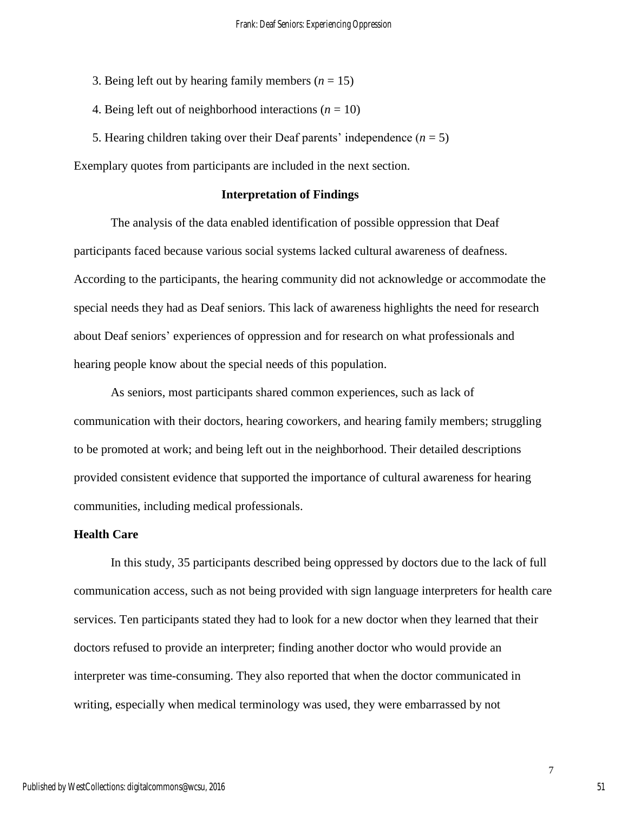- 3. Being left out by hearing family members  $(n = 15)$
- 4. Being left out of neighborhood interactions  $(n = 10)$
- 5. Hearing children taking over their Deaf parents' independence  $(n = 5)$

Exemplary quotes from participants are included in the next section.

## **Interpretation of Findings**

The analysis of the data enabled identification of possible oppression that Deaf participants faced because various social systems lacked cultural awareness of deafness. According to the participants, the hearing community did not acknowledge or accommodate the special needs they had as Deaf seniors. This lack of awareness highlights the need for research about Deaf seniors' experiences of oppression and for research on what professionals and hearing people know about the special needs of this population.

As seniors, most participants shared common experiences, such as lack of communication with their doctors, hearing coworkers, and hearing family members; struggling to be promoted at work; and being left out in the neighborhood. Their detailed descriptions provided consistent evidence that supported the importance of cultural awareness for hearing communities, including medical professionals.

## **Health Care**

In this study, 35 participants described being oppressed by doctors due to the lack of full communication access, such as not being provided with sign language interpreters for health care services. Ten participants stated they had to look for a new doctor when they learned that their doctors refused to provide an interpreter; finding another doctor who would provide an interpreter was time-consuming. They also reported that when the doctor communicated in writing, especially when medical terminology was used, they were embarrassed by not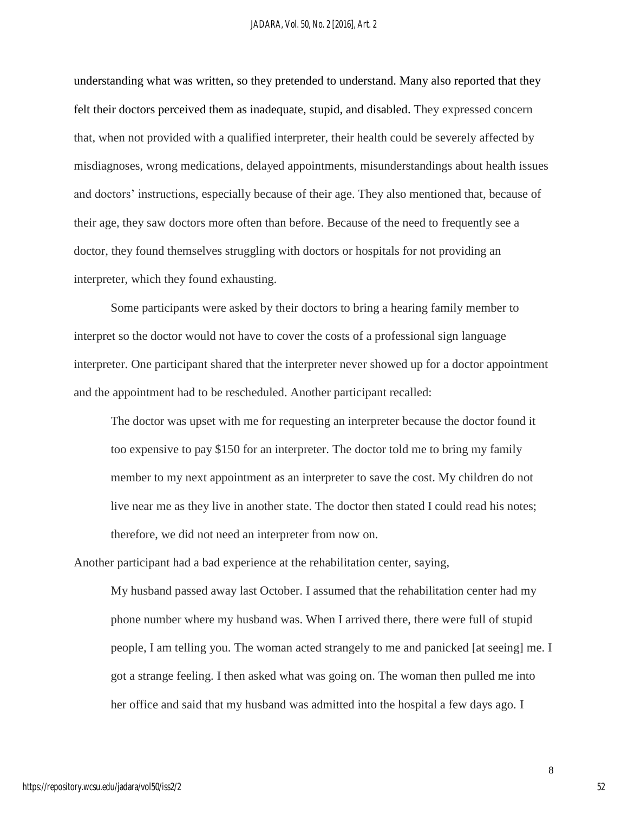understanding what was written, so they pretended to understand. Many also reported that they felt their doctors perceived them as inadequate, stupid, and disabled. They expressed concern that, when not provided with a qualified interpreter, their health could be severely affected by misdiagnoses, wrong medications, delayed appointments, misunderstandings about health issues and doctors' instructions, especially because of their age. They also mentioned that, because of their age, they saw doctors more often than before. Because of the need to frequently see a doctor, they found themselves struggling with doctors or hospitals for not providing an interpreter, which they found exhausting.

Some participants were asked by their doctors to bring a hearing family member to interpret so the doctor would not have to cover the costs of a professional sign language interpreter. One participant shared that the interpreter never showed up for a doctor appointment and the appointment had to be rescheduled. Another participant recalled:

The doctor was upset with me for requesting an interpreter because the doctor found it too expensive to pay \$150 for an interpreter. The doctor told me to bring my family member to my next appointment as an interpreter to save the cost. My children do not live near me as they live in another state. The doctor then stated I could read his notes; therefore, we did not need an interpreter from now on.

Another participant had a bad experience at the rehabilitation center, saying,

My husband passed away last October. I assumed that the rehabilitation center had my phone number where my husband was. When I arrived there, there were full of stupid people, I am telling you. The woman acted strangely to me and panicked [at seeing] me. I got a strange feeling. I then asked what was going on. The woman then pulled me into her office and said that my husband was admitted into the hospital a few days ago. I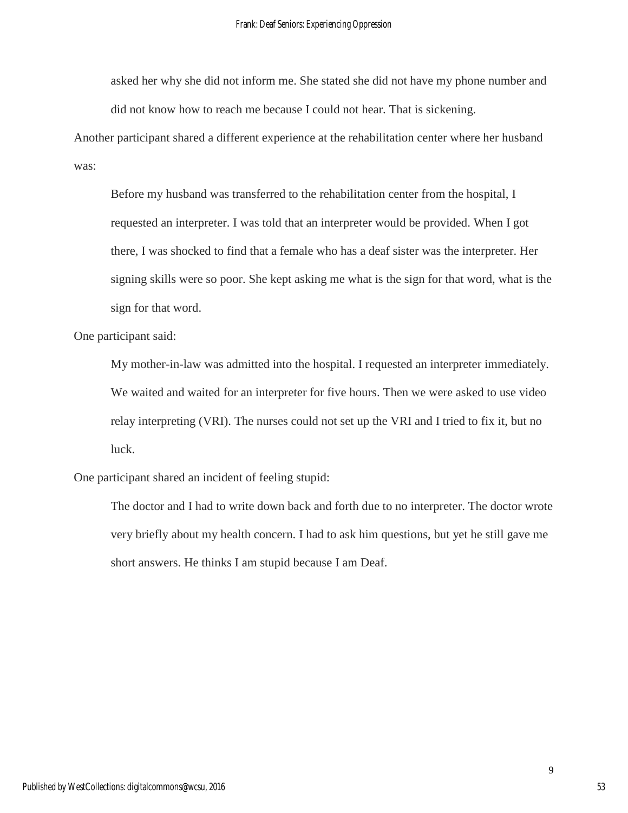asked her why she did not inform me. She stated she did not have my phone number and did not know how to reach me because I could not hear. That is sickening.

Another participant shared a different experience at the rehabilitation center where her husband was:

Before my husband was transferred to the rehabilitation center from the hospital, I requested an interpreter. I was told that an interpreter would be provided. When I got there, I was shocked to find that a female who has a deaf sister was the interpreter. Her signing skills were so poor. She kept asking me what is the sign for that word, what is the sign for that word.

One participant said:

My mother-in-law was admitted into the hospital. I requested an interpreter immediately. We waited and waited for an interpreter for five hours. Then we were asked to use video relay interpreting (VRI). The nurses could not set up the VRI and I tried to fix it, but no luck.

One participant shared an incident of feeling stupid:

The doctor and I had to write down back and forth due to no interpreter. The doctor wrote very briefly about my health concern. I had to ask him questions, but yet he still gave me short answers. He thinks I am stupid because I am Deaf.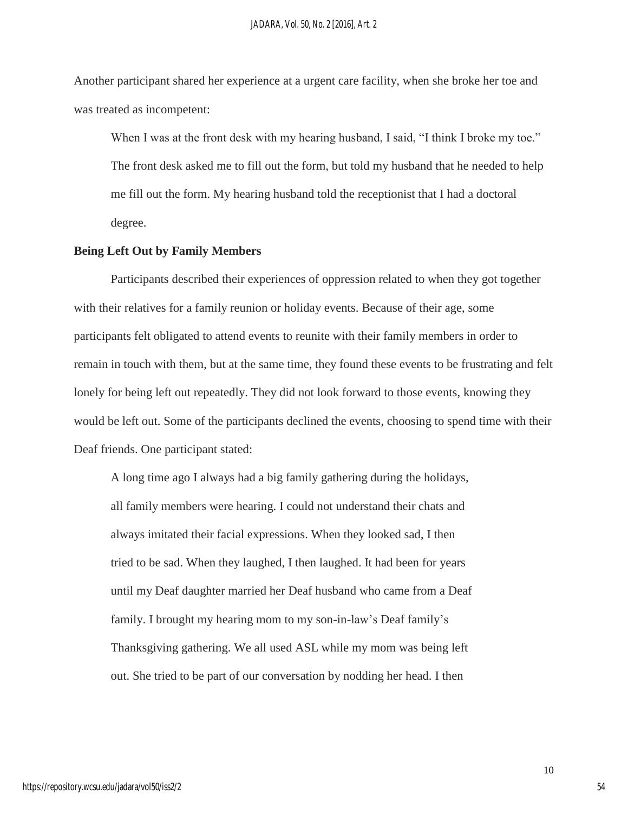Another participant shared her experience at a urgent care facility, when she broke her toe and was treated as incompetent:

When I was at the front desk with my hearing husband, I said, "I think I broke my toe." The front desk asked me to fill out the form, but told my husband that he needed to help me fill out the form. My hearing husband told the receptionist that I had a doctoral degree.

## **Being Left Out by Family Members**

Participants described their experiences of oppression related to when they got together with their relatives for a family reunion or holiday events. Because of their age, some participants felt obligated to attend events to reunite with their family members in order to remain in touch with them, but at the same time, they found these events to be frustrating and felt lonely for being left out repeatedly. They did not look forward to those events, knowing they would be left out. Some of the participants declined the events, choosing to spend time with their Deaf friends. One participant stated:

A long time ago I always had a big family gathering during the holidays, all family members were hearing. I could not understand their chats and always imitated their facial expressions. When they looked sad, I then tried to be sad. When they laughed, I then laughed. It had been for years until my Deaf daughter married her Deaf husband who came from a Deaf family. I brought my hearing mom to my son-in-law's Deaf family's Thanksgiving gathering. We all used ASL while my mom was being left out. She tried to be part of our conversation by nodding her head. I then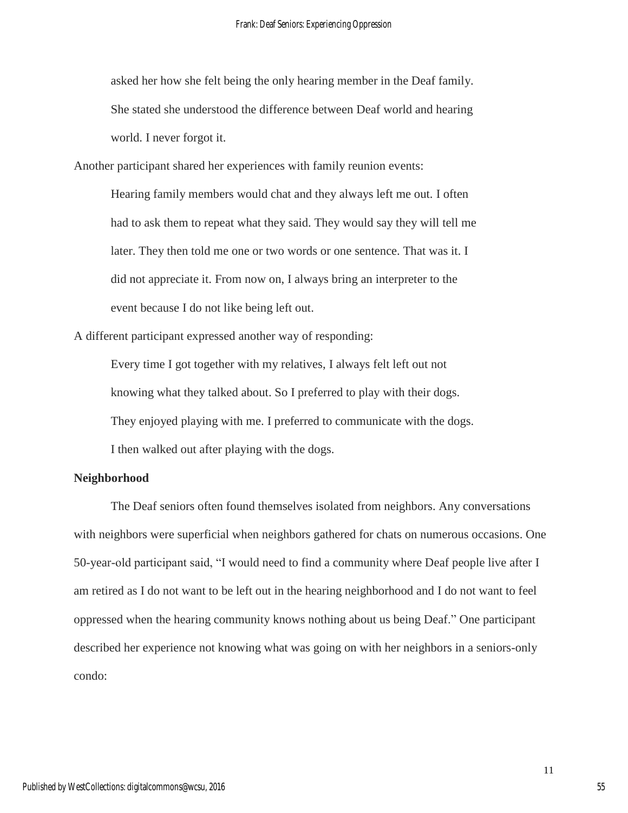asked her how she felt being the only hearing member in the Deaf family. She stated she understood the difference between Deaf world and hearing world. I never forgot it.

Another participant shared her experiences with family reunion events:

Hearing family members would chat and they always left me out. I often had to ask them to repeat what they said. They would say they will tell me later. They then told me one or two words or one sentence. That was it. I did not appreciate it. From now on, I always bring an interpreter to the event because I do not like being left out.

A different participant expressed another way of responding:

Every time I got together with my relatives, I always felt left out not knowing what they talked about. So I preferred to play with their dogs. They enjoyed playing with me. I preferred to communicate with the dogs.

I then walked out after playing with the dogs.

## **Neighborhood**

The Deaf seniors often found themselves isolated from neighbors. Any conversations with neighbors were superficial when neighbors gathered for chats on numerous occasions. One 50-year-old participant said, "I would need to find a community where Deaf people live after I am retired as I do not want to be left out in the hearing neighborhood and I do not want to feel oppressed when the hearing community knows nothing about us being Deaf." One participant described her experience not knowing what was going on with her neighbors in a seniors-only condo: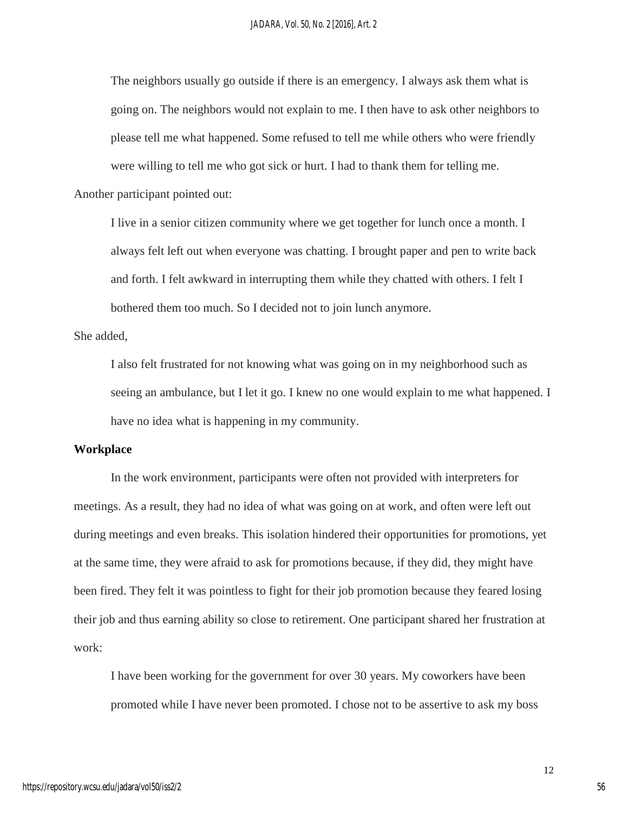The neighbors usually go outside if there is an emergency. I always ask them what is going on. The neighbors would not explain to me. I then have to ask other neighbors to please tell me what happened. Some refused to tell me while others who were friendly were willing to tell me who got sick or hurt. I had to thank them for telling me.

Another participant pointed out:

I live in a senior citizen community where we get together for lunch once a month. I always felt left out when everyone was chatting. I brought paper and pen to write back and forth. I felt awkward in interrupting them while they chatted with others. I felt I bothered them too much. So I decided not to join lunch anymore.

She added,

I also felt frustrated for not knowing what was going on in my neighborhood such as seeing an ambulance, but I let it go. I knew no one would explain to me what happened. I have no idea what is happening in my community.

## **Workplace**

In the work environment, participants were often not provided with interpreters for meetings. As a result, they had no idea of what was going on at work, and often were left out during meetings and even breaks. This isolation hindered their opportunities for promotions, yet at the same time, they were afraid to ask for promotions because, if they did, they might have been fired. They felt it was pointless to fight for their job promotion because they feared losing their job and thus earning ability so close to retirement. One participant shared her frustration at work:

I have been working for the government for over 30 years. My coworkers have been promoted while I have never been promoted. I chose not to be assertive to ask my boss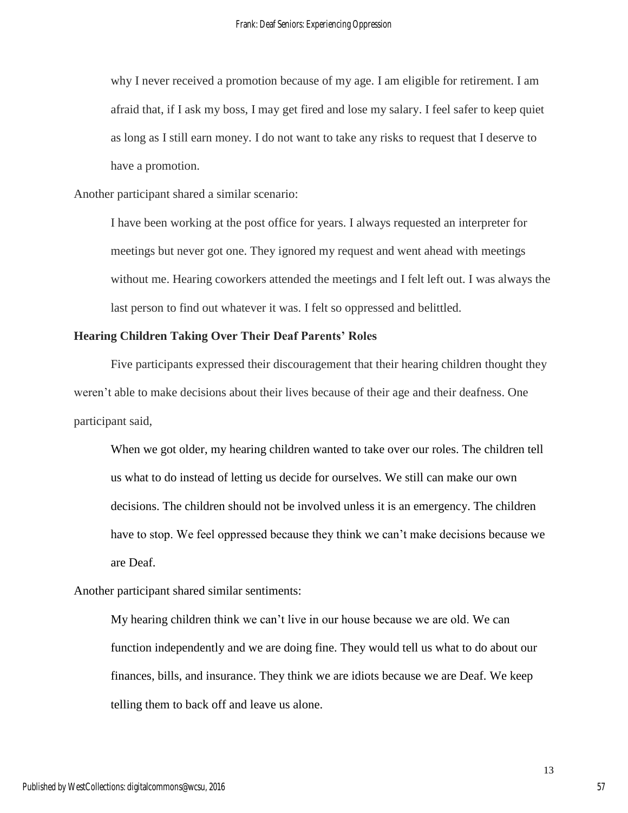why I never received a promotion because of my age. I am eligible for retirement. I am afraid that, if I ask my boss, I may get fired and lose my salary. I feel safer to keep quiet as long as I still earn money. I do not want to take any risks to request that I deserve to have a promotion.

Another participant shared a similar scenario:

I have been working at the post office for years. I always requested an interpreter for meetings but never got one. They ignored my request and went ahead with meetings without me. Hearing coworkers attended the meetings and I felt left out. I was always the last person to find out whatever it was. I felt so oppressed and belittled.

## **Hearing Children Taking Over Their Deaf Parents' Roles**

Five participants expressed their discouragement that their hearing children thought they weren't able to make decisions about their lives because of their age and their deafness. One participant said,

When we got older, my hearing children wanted to take over our roles. The children tell us what to do instead of letting us decide for ourselves. We still can make our own decisions. The children should not be involved unless it is an emergency. The children have to stop. We feel oppressed because they think we can't make decisions because we are Deaf.

Another participant shared similar sentiments:

My hearing children think we can't live in our house because we are old. We can function independently and we are doing fine. They would tell us what to do about our finances, bills, and insurance. They think we are idiots because we are Deaf. We keep telling them to back off and leave us alone.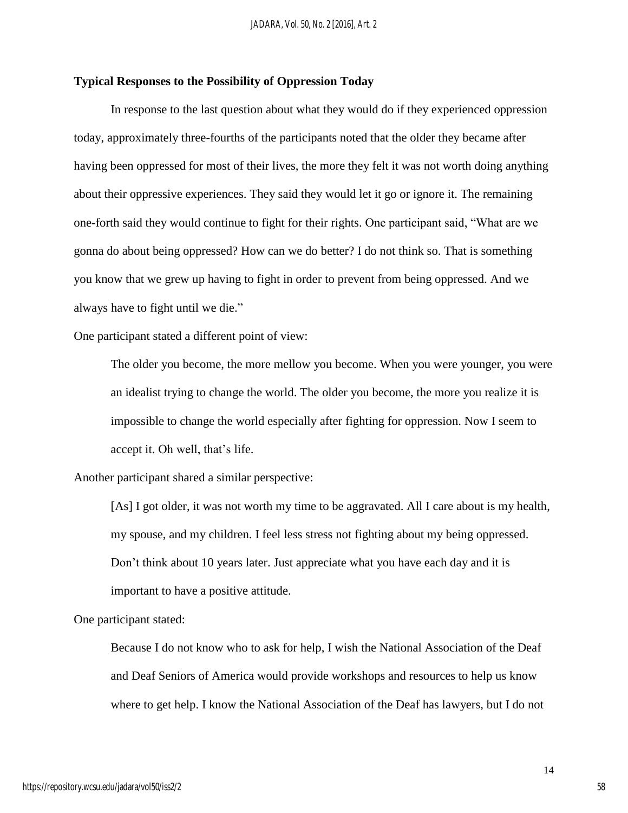## **Typical Responses to the Possibility of Oppression Today**

In response to the last question about what they would do if they experienced oppression today, approximately three-fourths of the participants noted that the older they became after having been oppressed for most of their lives, the more they felt it was not worth doing anything about their oppressive experiences. They said they would let it go or ignore it. The remaining one-forth said they would continue to fight for their rights. One participant said, "What are we gonna do about being oppressed? How can we do better? I do not think so. That is something you know that we grew up having to fight in order to prevent from being oppressed. And we always have to fight until we die."

One participant stated a different point of view:

The older you become, the more mellow you become. When you were younger, you were an idealist trying to change the world. The older you become, the more you realize it is impossible to change the world especially after fighting for oppression. Now I seem to accept it. Oh well, that's life.

Another participant shared a similar perspective:

[As] I got older, it was not worth my time to be aggravated. All I care about is my health, my spouse, and my children. I feel less stress not fighting about my being oppressed. Don't think about 10 years later. Just appreciate what you have each day and it is important to have a positive attitude.

One participant stated:

Because I do not know who to ask for help, I wish the National Association of the Deaf and Deaf Seniors of America would provide workshops and resources to help us know where to get help. I know the National Association of the Deaf has lawyers, but I do not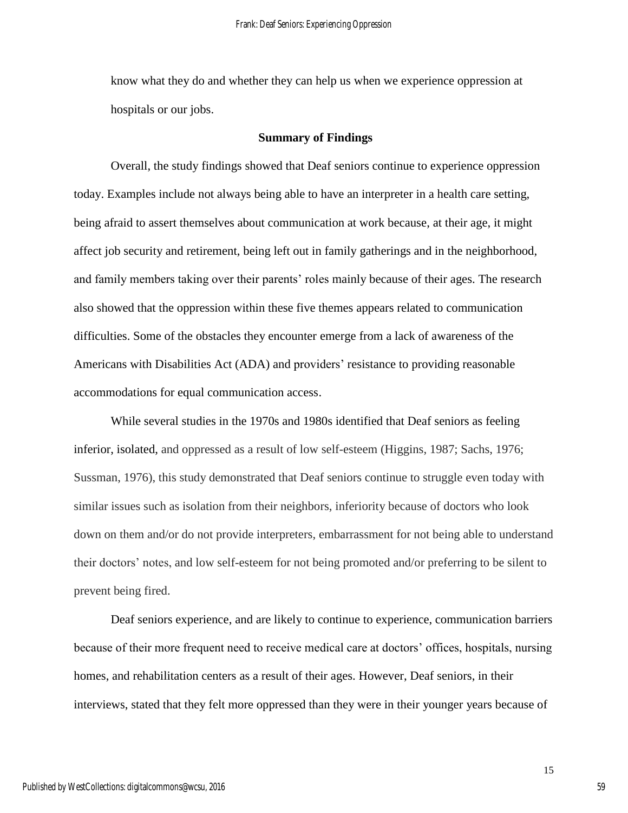know what they do and whether they can help us when we experience oppression at hospitals or our jobs.

#### **Summary of Findings**

Overall, the study findings showed that Deaf seniors continue to experience oppression today. Examples include not always being able to have an interpreter in a health care setting, being afraid to assert themselves about communication at work because, at their age, it might affect job security and retirement, being left out in family gatherings and in the neighborhood, and family members taking over their parents' roles mainly because of their ages. The research also showed that the oppression within these five themes appears related to communication difficulties. Some of the obstacles they encounter emerge from a lack of awareness of the Americans with Disabilities Act (ADA) and providers' resistance to providing reasonable accommodations for equal communication access.

While several studies in the 1970s and 1980s identified that Deaf seniors as feeling inferior, isolated, and oppressed as a result of low self-esteem (Higgins, 1987; Sachs, 1976; Sussman, 1976), this study demonstrated that Deaf seniors continue to struggle even today with similar issues such as isolation from their neighbors, inferiority because of doctors who look down on them and/or do not provide interpreters, embarrassment for not being able to understand their doctors' notes, and low self-esteem for not being promoted and/or preferring to be silent to prevent being fired.

Deaf seniors experience, and are likely to continue to experience, communication barriers because of their more frequent need to receive medical care at doctors' offices, hospitals, nursing homes, and rehabilitation centers as a result of their ages. However, Deaf seniors, in their interviews, stated that they felt more oppressed than they were in their younger years because of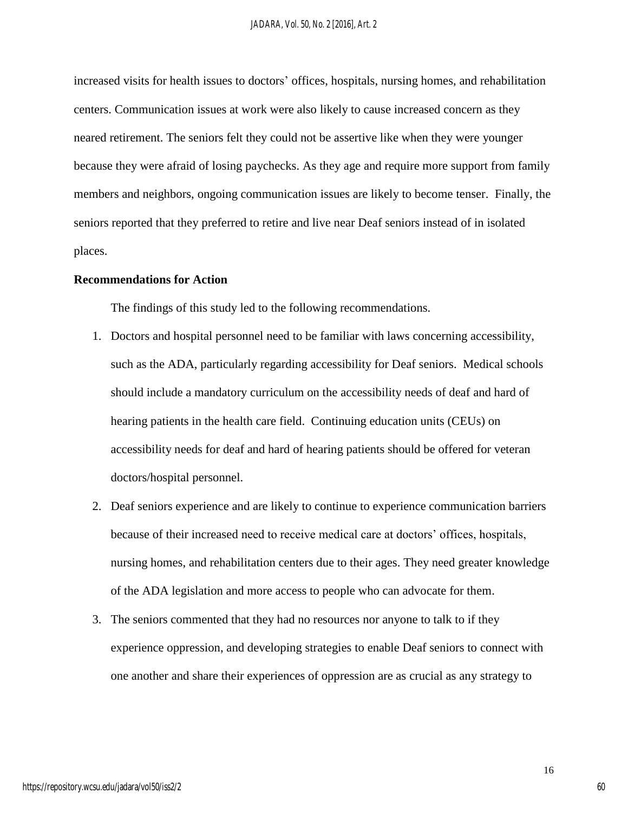increased visits for health issues to doctors' offices, hospitals, nursing homes, and rehabilitation centers. Communication issues at work were also likely to cause increased concern as they neared retirement. The seniors felt they could not be assertive like when they were younger because they were afraid of losing paychecks. As they age and require more support from family members and neighbors, ongoing communication issues are likely to become tenser. Finally, the seniors reported that they preferred to retire and live near Deaf seniors instead of in isolated places.

## **Recommendations for Action**

The findings of this study led to the following recommendations.

- 1. Doctors and hospital personnel need to be familiar with laws concerning accessibility, such as the ADA, particularly regarding accessibility for Deaf seniors. Medical schools should include a mandatory curriculum on the accessibility needs of deaf and hard of hearing patients in the health care field. Continuing education units (CEUs) on accessibility needs for deaf and hard of hearing patients should be offered for veteran doctors/hospital personnel.
- 2. Deaf seniors experience and are likely to continue to experience communication barriers because of their increased need to receive medical care at doctors' offices, hospitals, nursing homes, and rehabilitation centers due to their ages. They need greater knowledge of the ADA legislation and more access to people who can advocate for them.
- 3. The seniors commented that they had no resources nor anyone to talk to if they experience oppression, and developing strategies to enable Deaf seniors to connect with one another and share their experiences of oppression are as crucial as any strategy to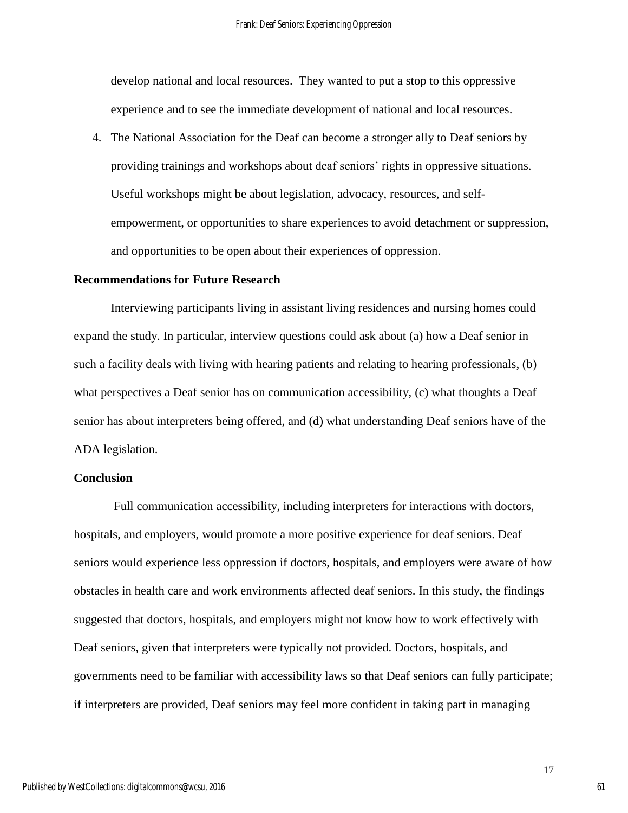develop national and local resources. They wanted to put a stop to this oppressive experience and to see the immediate development of national and local resources.

4. The National Association for the Deaf can become a stronger ally to Deaf seniors by providing trainings and workshops about deaf seniors' rights in oppressive situations. Useful workshops might be about legislation, advocacy, resources, and selfempowerment, or opportunities to share experiences to avoid detachment or suppression, and opportunities to be open about their experiences of oppression.

### **Recommendations for Future Research**

Interviewing participants living in assistant living residences and nursing homes could expand the study. In particular, interview questions could ask about (a) how a Deaf senior in such a facility deals with living with hearing patients and relating to hearing professionals, (b) what perspectives a Deaf senior has on communication accessibility, (c) what thoughts a Deaf senior has about interpreters being offered, and (d) what understanding Deaf seniors have of the ADA legislation.

## **Conclusion**

Full communication accessibility, including interpreters for interactions with doctors, hospitals, and employers, would promote a more positive experience for deaf seniors. Deaf seniors would experience less oppression if doctors, hospitals, and employers were aware of how obstacles in health care and work environments affected deaf seniors. In this study, the findings suggested that doctors, hospitals, and employers might not know how to work effectively with Deaf seniors, given that interpreters were typically not provided. Doctors, hospitals, and governments need to be familiar with accessibility laws so that Deaf seniors can fully participate; if interpreters are provided, Deaf seniors may feel more confident in taking part in managing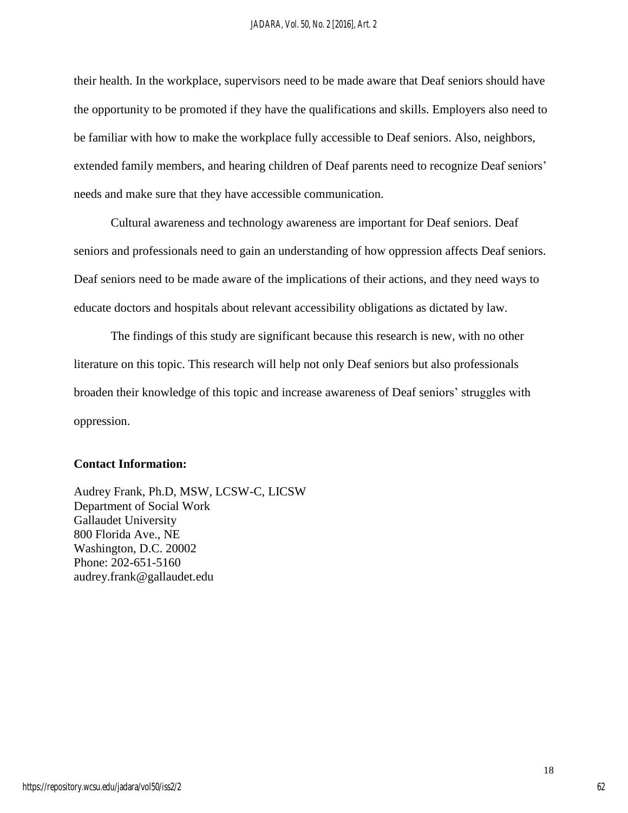their health. In the workplace, supervisors need to be made aware that Deaf seniors should have the opportunity to be promoted if they have the qualifications and skills. Employers also need to be familiar with how to make the workplace fully accessible to Deaf seniors. Also, neighbors, extended family members, and hearing children of Deaf parents need to recognize Deaf seniors' needs and make sure that they have accessible communication.

Cultural awareness and technology awareness are important for Deaf seniors. Deaf seniors and professionals need to gain an understanding of how oppression affects Deaf seniors. Deaf seniors need to be made aware of the implications of their actions, and they need ways to educate doctors and hospitals about relevant accessibility obligations as dictated by law.

The findings of this study are significant because this research is new, with no other literature on this topic. This research will help not only Deaf seniors but also professionals broaden their knowledge of this topic and increase awareness of Deaf seniors' struggles with oppression.

## **Contact Information:**

Audrey Frank, Ph.D, MSW, LCSW-C, LICSW Department of Social Work Gallaudet University 800 Florida Ave., NE Washington, D.C. 20002 Phone: 202-651-5160 audrey.frank@gallaudet.edu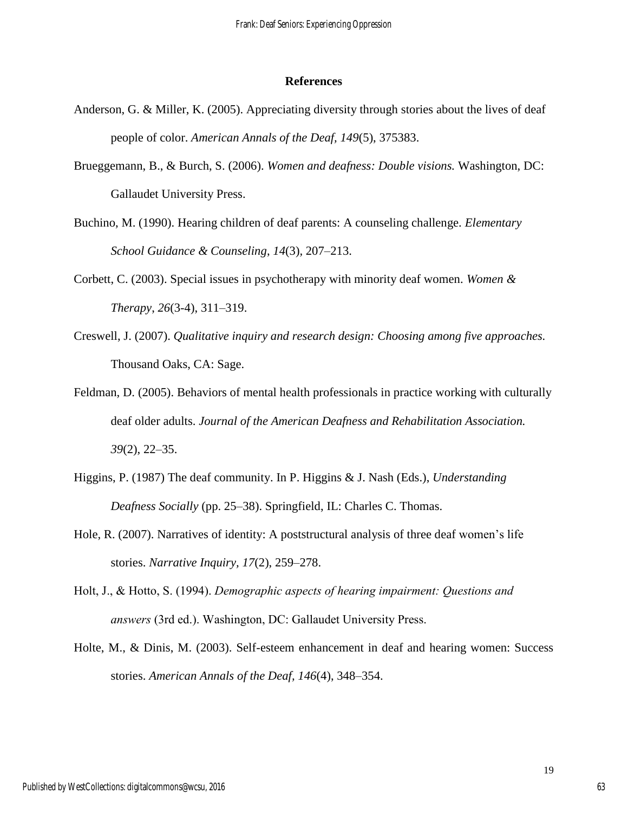#### **References**

- Anderson, G. & Miller, K. (2005). Appreciating diversity through stories about the lives of deaf people of color. *American Annals of the Deaf, 149*(5), 375383.
- Brueggemann, B., & Burch, S. (2006). *Women and deafness: Double visions.* Washington, DC: Gallaudet University Press.
- Buchino, M. (1990). Hearing children of deaf parents: A counseling challenge. *Elementary School Guidance & Counseling*, *14*(3)*,* 207–213.
- Corbett, C. (2003). Special issues in psychotherapy with minority deaf women. *Women & Therapy*, *26*(3-4), 311–319.
- Creswell, J. (2007). *Qualitative inquiry and research design: Choosing among five approaches.* Thousand Oaks, CA: Sage.
- Feldman, D. (2005). Behaviors of mental health professionals in practice working with culturally deaf older adults. *Journal of the American Deafness and Rehabilitation Association. 39*(2), 22–35.
- Higgins, P. (1987) The deaf community. In P. Higgins & J. Nash (Eds.), *Understanding Deafness Socially* (pp. 25–38). Springfield, IL: Charles C. Thomas.
- Hole, R. (2007). Narratives of identity: A poststructural analysis of three deaf women's life stories. *Narrative Inquiry, 17*(2), 259–278.
- Holt, J., & Hotto, S. (1994). *Demographic aspects of hearing impairment: Questions and answers* (3rd ed.). Washington, DC: Gallaudet University Press.
- Holte, M., & Dinis, M. (2003). Self-esteem enhancement in deaf and hearing women: Success stories. *American Annals of the Deaf, 146*(4), 348–354.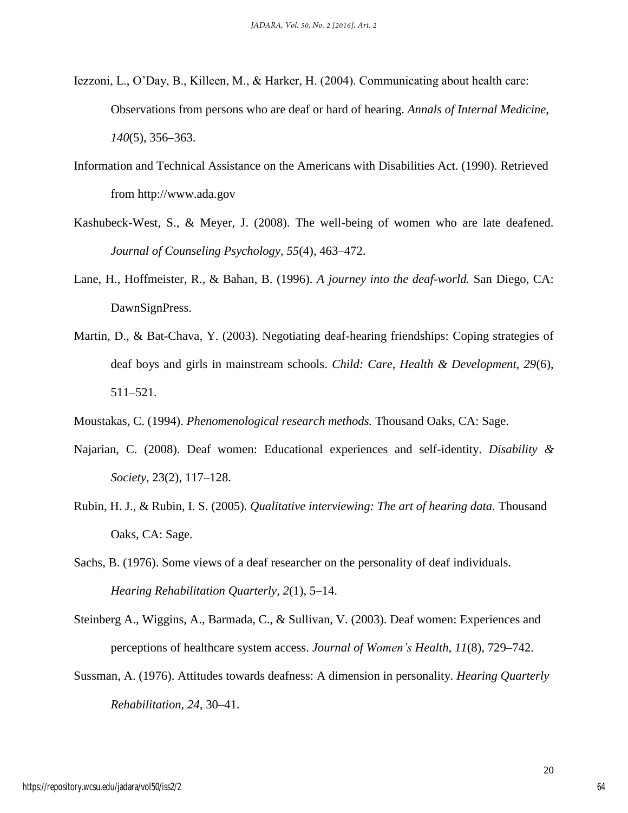- Iezzoni, L., O'Day, B., Killeen, M., & Harker, H. (2004). Communicating about health care: Observations from persons who are deaf or hard of hearing. *Annals of Internal Medicine, 140*(5), 356–363.
- Information and Technical Assistance on the Americans with Disabilities Act. (1990). Retrieved from http://www.ada.gov
- Kashubeck-West, S., & Meyer, J. (2008). The well-being of women who are late deafened. *Journal of Counseling Psychology, 55*(4), 463–472.
- Lane, H., Hoffmeister, R., & Bahan, B. (1996). *A journey into the deaf-world.* San Diego, CA: DawnSignPress.
- Martin, D., & Bat-Chava, Y. (2003). Negotiating deaf-hearing friendships: Coping strategies of deaf boys and girls in mainstream schools. *Child: Care, Health & Development, 29*(6), 511–521.
- Moustakas, C. (1994). *Phenomenological research methods.* Thousand Oaks, CA: Sage.
- Najarian, C. (2008). Deaf women: Educational experiences and self-identity. *Disability & Society*, 23(2), 117–128.
- Rubin, H. J., & Rubin, I. S. (2005). *Qualitative interviewing: The art of hearing data.* Thousand Oaks, CA: Sage.
- Sachs, B. (1976). Some views of a deaf researcher on the personality of deaf individuals. *Hearing Rehabilitation Quarterly, 2*(1), 5–14.
- Steinberg A., Wiggins, A., Barmada, C., & Sullivan, V. (2003). Deaf women: Experiences and perceptions of healthcare system access. *Journal of Women's Health, 11*(8), 729–742.
- Sussman, A. (1976). Attitudes towards deafness: A dimension in personality. *Hearing Quarterly Rehabilitation, 24,* 30–41.